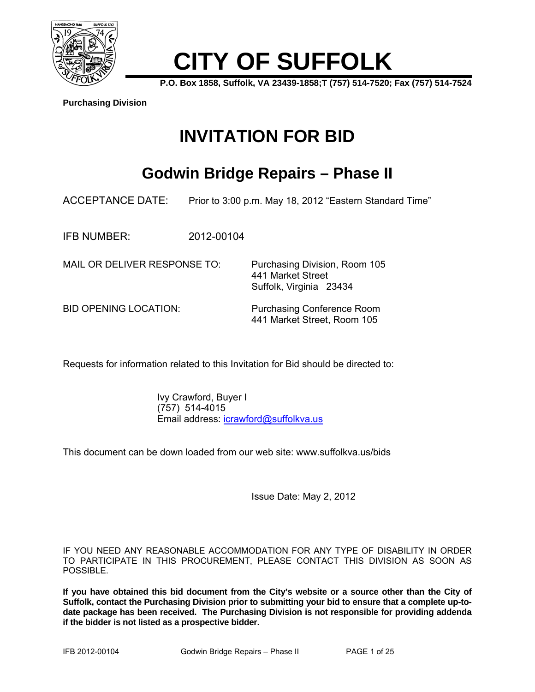

# **CITY OF SUFFOLK**

**P.O. Box 1858, Suffolk, VA 23439-1858;T (757) 514-7520; Fax (757) 514-7524** 

**Purchasing Division**

# **INVITATION FOR BID**

## **Godwin Bridge Repairs – Phase II**

ACCEPTANCE DATE: Prior to 3:00 p.m. May 18, 2012 "Eastern Standard Time"

IFB NUMBER: 2012-00104

MAIL OR DELIVER RESPONSE TO: Purchasing Division, Room 105

BID OPENING LOCATION: Purchasing Conference Room 441 Market Street, Room 105

 441 Market Street Suffolk, Virginia 23434

Requests for information related to this Invitation for Bid should be directed to:

 Ivy Crawford, Buyer I (757) 514-4015 Email address: icrawford@suffolkva.us

This document can be down loaded from our web site: www.suffolkva.us/bids

Issue Date: May 2, 2012

IF YOU NEED ANY REASONABLE ACCOMMODATION FOR ANY TYPE OF DISABILITY IN ORDER TO PARTICIPATE IN THIS PROCUREMENT, PLEASE CONTACT THIS DIVISION AS SOON AS POSSIBLE.

**If you have obtained this bid document from the City's website or a source other than the City of Suffolk, contact the Purchasing Division prior to submitting your bid to ensure that a complete up-todate package has been received. The Purchasing Division is not responsible for providing addenda if the bidder is not listed as a prospective bidder.**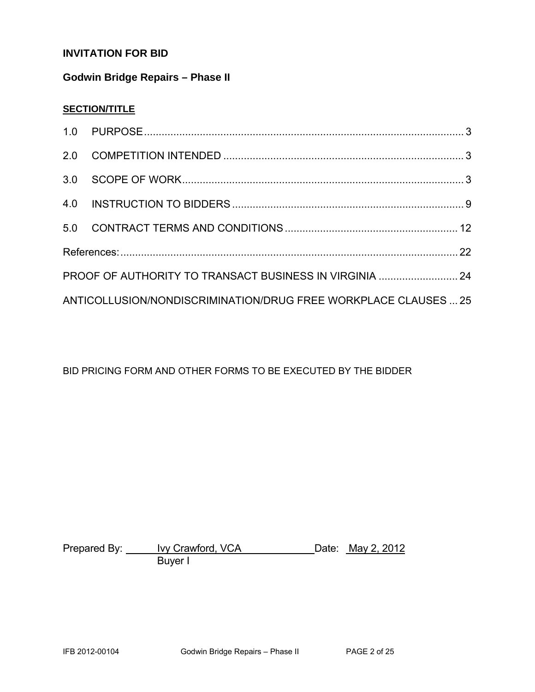### **INVITATION FOR BID**

#### **Godwin Bridge Repairs – Phase II**

#### **SECTION/TITLE**

| PROOF OF AUTHORITY TO TRANSACT BUSINESS IN VIRGINIA  24         |  |
|-----------------------------------------------------------------|--|
| ANTICOLLUSION/NONDISCRIMINATION/DRUG FREE WORKPLACE CLAUSES  25 |  |

#### BID PRICING FORM AND OTHER FORMS TO BE EXECUTED BY THE BIDDER

Prepared By: <u>Ivy Crawford, VCA</u> Concession Date: May 2, 2012 e a barang Buyer I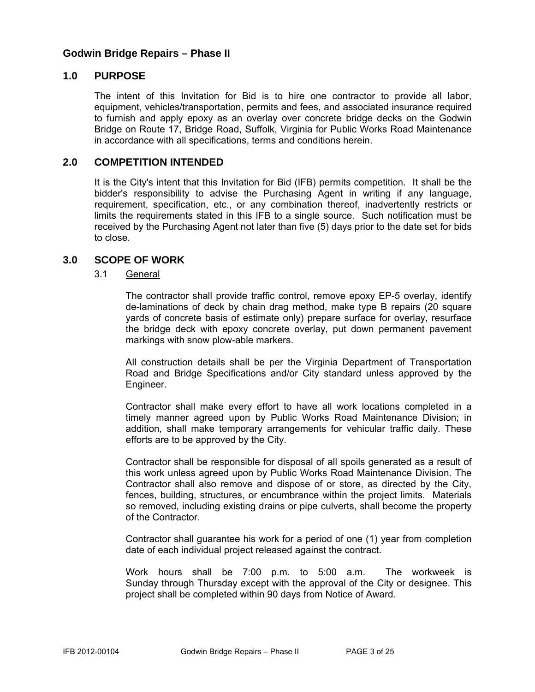#### **Godwin Bridge Repairs – Phase II**

#### **1.0 PURPOSE**

The intent of this Invitation for Bid is to hire one contractor to provide all labor, equipment, vehicles/transportation, permits and fees, and associated insurance required to furnish and apply epoxy as an overlay over concrete bridge decks on the Godwin Bridge on Route 17, Bridge Road, Suffolk, Virginia for Public Works Road Maintenance in accordance with all specifications, terms and conditions herein.

#### **2.0 COMPETITION INTENDED**

It is the City's intent that this Invitation for Bid (IFB) permits competition. It shall be the bidder's responsibility to advise the Purchasing Agent in writing if any language, requirement, specification, etc., or any combination thereof, inadvertently restricts or limits the requirements stated in this IFB to a single source. Such notification must be received by the Purchasing Agent not later than five (5) days prior to the date set for bids to close.

#### **3.0 SCOPE OF WORK**

#### 3.1 General

The contractor shall provide traffic control, remove epoxy EP-5 overlay, identify de-laminations of deck by chain drag method, make type B repairs (20 square yards of concrete basis of estimate only) prepare surface for overlay, resurface the bridge deck with epoxy concrete overlay, put down permanent pavement markings with snow plow-able markers.

All construction details shall be per the Virginia Department of Transportation Road and Bridge Specifications and/or City standard unless approved by the Engineer.

Contractor shall make every effort to have all work locations completed in a timely manner agreed upon by Public Works Road Maintenance Division; in addition, shall make temporary arrangements for vehicular traffic daily. These efforts are to be approved by the City.

Contractor shall be responsible for disposal of all spoils generated as a result of this work unless agreed upon by Public Works Road Maintenance Division. The Contractor shall also remove and dispose of or store, as directed by the City, fences, building, structures, or encumbrance within the project limits. Materials so removed, including existing drains or pipe culverts, shall become the property of the Contractor.

Contractor shall guarantee his work for a period of one (1) year from completion date of each individual project released against the contract.

Work hours shall be 7:00 p.m. to 5:00 a.m. The workweek is Sunday through Thursday except with the approval of the City or designee. This project shall be completed within 90 days from Notice of Award.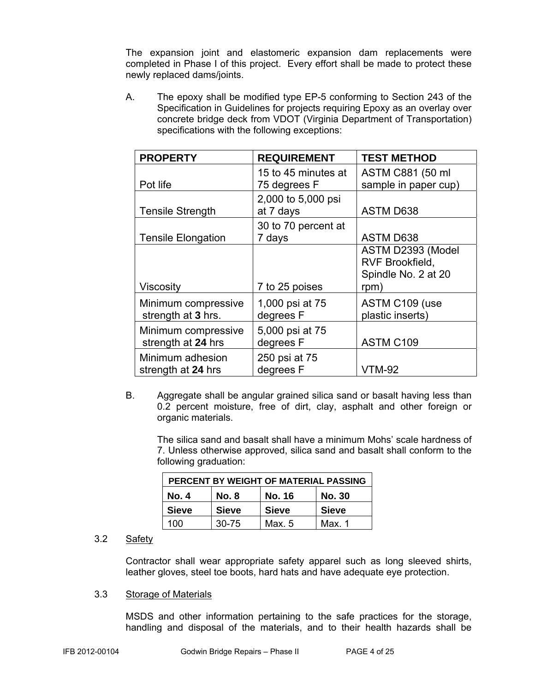The expansion joint and elastomeric expansion dam replacements were completed in Phase I of this project. Every effort shall be made to protect these newly replaced dams/joints.

A. The epoxy shall be modified type EP-5 conforming to Section 243 of the Specification in Guidelines for projects requiring Epoxy as an overlay over concrete bridge deck from VDOT (Virginia Department of Transportation) specifications with the following exceptions:

| <b>PROPERTY</b>                           | <b>REQUIREMENT</b>                  | <b>TEST METHOD</b>                                                  |
|-------------------------------------------|-------------------------------------|---------------------------------------------------------------------|
| Pot life                                  | 15 to 45 minutes at<br>75 degrees F | ASTM C881 (50 ml<br>sample in paper cup)                            |
| <b>Tensile Strength</b>                   | 2,000 to 5,000 psi<br>at 7 days     | <b>ASTM D638</b>                                                    |
| <b>Tensile Elongation</b>                 | 30 to 70 percent at<br>7 days       | <b>ASTM D638</b>                                                    |
| Viscosity                                 | 7 to 25 poises                      | ASTM D2393 (Model<br>RVF Brookfield,<br>Spindle No. 2 at 20<br>rpm) |
| Minimum compressive<br>strength at 3 hrs. | 1,000 psi at 75<br>degrees F        | ASTM C109 (use<br>plastic inserts)                                  |
| Minimum compressive<br>strength at 24 hrs | 5,000 psi at 75<br>degrees F        | ASTM C109                                                           |
| Minimum adhesion<br>strength at 24 hrs    | 250 psi at 75<br>degrees F          | <b>VTM-92</b>                                                       |

B. Aggregate shall be angular grained silica sand or basalt having less than 0.2 percent moisture, free of dirt, clay, asphalt and other foreign or organic materials.

 The silica sand and basalt shall have a minimum Mohs' scale hardness of 7. Unless otherwise approved, silica sand and basalt shall conform to the following graduation:

| PERCENT BY WEIGHT OF MATERIAL PASSING                   |              |              |              |  |
|---------------------------------------------------------|--------------|--------------|--------------|--|
| <b>No. 8</b><br><b>No. 4</b><br>No. 16<br><b>No. 30</b> |              |              |              |  |
| <b>Sieve</b>                                            | <b>Sieve</b> | <b>Sieve</b> | <b>Sieve</b> |  |
| 100                                                     | $30 - 75$    | Max. 5       | Max. 1       |  |

#### 3.2 Safety

Contractor shall wear appropriate safety apparel such as long sleeved shirts, leather gloves, steel toe boots, hard hats and have adequate eye protection.

#### 3.3 Storage of Materials

 MSDS and other information pertaining to the safe practices for the storage, handling and disposal of the materials, and to their health hazards shall be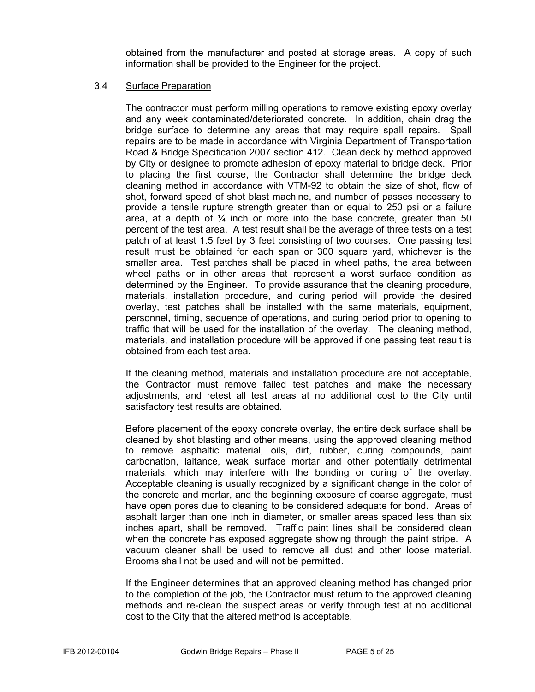obtained from the manufacturer and posted at storage areas. A copy of such information shall be provided to the Engineer for the project.

#### 3.4 Surface Preparation

 The contractor must perform milling operations to remove existing epoxy overlay and any week contaminated/deteriorated concrete. In addition, chain drag the bridge surface to determine any areas that may require spall repairs. Spall repairs are to be made in accordance with Virginia Department of Transportation Road & Bridge Specification 2007 section 412. Clean deck by method approved by City or designee to promote adhesion of epoxy material to bridge deck. Prior to placing the first course, the Contractor shall determine the bridge deck cleaning method in accordance with VTM-92 to obtain the size of shot, flow of shot, forward speed of shot blast machine, and number of passes necessary to provide a tensile rupture strength greater than or equal to 250 psi or a failure area, at a depth of  $\frac{1}{4}$  inch or more into the base concrete, greater than 50 percent of the test area. A test result shall be the average of three tests on a test patch of at least 1.5 feet by 3 feet consisting of two courses. One passing test result must be obtained for each span or 300 square yard, whichever is the smaller area. Test patches shall be placed in wheel paths, the area between wheel paths or in other areas that represent a worst surface condition as determined by the Engineer. To provide assurance that the cleaning procedure, materials, installation procedure, and curing period will provide the desired overlay, test patches shall be installed with the same materials, equipment, personnel, timing, sequence of operations, and curing period prior to opening to traffic that will be used for the installation of the overlay. The cleaning method, materials, and installation procedure will be approved if one passing test result is obtained from each test area.

 If the cleaning method, materials and installation procedure are not acceptable, the Contractor must remove failed test patches and make the necessary adjustments, and retest all test areas at no additional cost to the City until satisfactory test results are obtained.

 Before placement of the epoxy concrete overlay, the entire deck surface shall be cleaned by shot blasting and other means, using the approved cleaning method to remove asphaltic material, oils, dirt, rubber, curing compounds, paint carbonation, laitance, weak surface mortar and other potentially detrimental materials, which may interfere with the bonding or curing of the overlay. Acceptable cleaning is usually recognized by a significant change in the color of the concrete and mortar, and the beginning exposure of coarse aggregate, must have open pores due to cleaning to be considered adequate for bond. Areas of asphalt larger than one inch in diameter, or smaller areas spaced less than six inches apart, shall be removed. Traffic paint lines shall be considered clean when the concrete has exposed aggregate showing through the paint stripe. A vacuum cleaner shall be used to remove all dust and other loose material. Brooms shall not be used and will not be permitted.

 If the Engineer determines that an approved cleaning method has changed prior to the completion of the job, the Contractor must return to the approved cleaning methods and re-clean the suspect areas or verify through test at no additional cost to the City that the altered method is acceptable.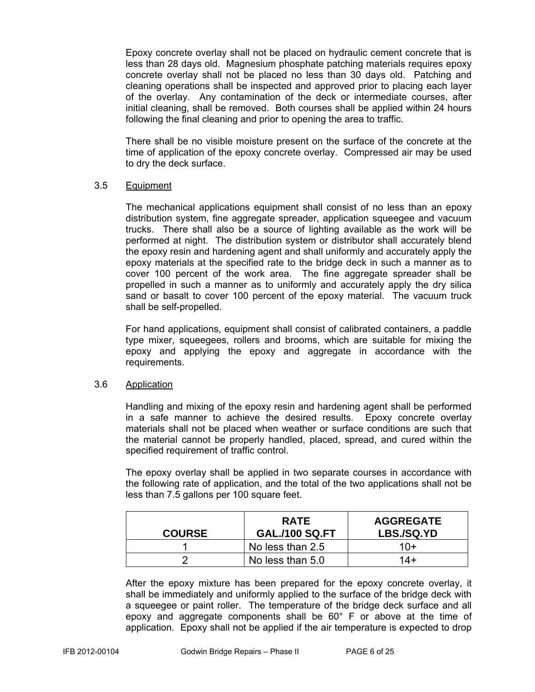Epoxy concrete overlay shall not be placed on hydraulic cement concrete that is less than 28 days old. Magnesium phosphate patching materials requires epoxy concrete overlay shall not be placed no less than 30 days old. Patching and cleaning operations shall be inspected and approved prior to placing each layer of the overlay. Any contamination of the deck or intermediate courses, after initial cleaning, shall be removed. Both courses shall be applied within 24 hours following the final cleaning and prior to opening the area to traffic.

 There shall be no visible moisture present on the surface of the concrete at the time of application of the epoxy concrete overlay. Compressed air may be used to dry the deck surface.

#### 3.5 Equipment

 The mechanical applications equipment shall consist of no less than an epoxy distribution system, fine aggregate spreader, application squeegee and vacuum trucks. There shall also be a source of lighting available as the work will be performed at night. The distribution system or distributor shall accurately blend the epoxy resin and hardening agent and shall uniformly and accurately apply the epoxy materials at the specified rate to the bridge deck in such a manner as to cover 100 percent of the work area. The fine aggregate spreader shall be propelled in such a manner as to uniformly and accurately apply the dry silica sand or basalt to cover 100 percent of the epoxy material. The vacuum truck shall be self-propelled.

 For hand applications, equipment shall consist of calibrated containers, a paddle type mixer, squeegees, rollers and brooms, which are suitable for mixing the epoxy and applying the epoxy and aggregate in accordance with the requirements.

#### 3.6 Application

 Handling and mixing of the epoxy resin and hardening agent shall be performed in a safe manner to achieve the desired results. Epoxy concrete overlay materials shall not be placed when weather or surface conditions are such that the material cannot be properly handled, placed, spread, and cured within the specified requirement of traffic control.

 The epoxy overlay shall be applied in two separate courses in accordance with the following rate of application, and the total of the two applications shall not be less than 7.5 gallons per 100 square feet.

| <b>COURSE</b> | <b>RATE</b><br><b>GAL./100 SQ.FT</b> | <b>AGGREGATE</b><br><b>LBS./SQ.YD</b> |
|---------------|--------------------------------------|---------------------------------------|
|               | No less than 2.5                     | $10+$                                 |
|               | No less than 5.0                     | $14+$                                 |

 After the epoxy mixture has been prepared for the epoxy concrete overlay, it shall be immediately and uniformly applied to the surface of the bridge deck with a squeegee or paint roller. The temperature of the bridge deck surface and all epoxy and aggregate components shall be 60° F or above at the time of application. Epoxy shall not be applied if the air temperature is expected to drop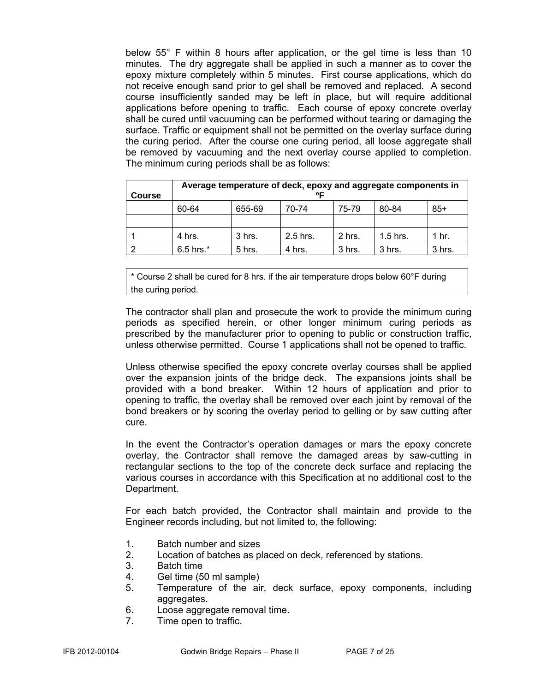below 55° F within 8 hours after application, or the gel time is less than 10 minutes. The dry aggregate shall be applied in such a manner as to cover the epoxy mixture completely within 5 minutes. First course applications, which do not receive enough sand prior to gel shall be removed and replaced. A second course insufficiently sanded may be left in place, but will require additional applications before opening to traffic. Each course of epoxy concrete overlay shall be cured until vacuuming can be performed without tearing or damaging the surface. Traffic or equipment shall not be permitted on the overlay surface during the curing period. After the course one curing period, all loose aggregate shall be removed by vacuuming and the next overlay course applied to completion. The minimum curing periods shall be as follows:

| Course | Average temperature of deck, epoxy and aggregate components in<br>ᅂ |          |            |        |            |        |
|--------|---------------------------------------------------------------------|----------|------------|--------|------------|--------|
|        | 60-64                                                               | 655-69   | 70-74      | 75-79  | 80-84      | $85+$  |
|        |                                                                     |          |            |        |            |        |
|        | 4 hrs.                                                              | 3 hrs.   | $2.5$ hrs. | 2 hrs. | $1.5$ hrs. | 1 hr.  |
|        | $6.5$ hrs. $*$                                                      | $5$ hrs. | 4 hrs.     | 3 hrs. | 3 hrs.     | 3 hrs. |

\* Course 2 shall be cured for 8 hrs. if the air temperature drops below 60°F during the curing period.

 The contractor shall plan and prosecute the work to provide the minimum curing periods as specified herein, or other longer minimum curing periods as prescribed by the manufacturer prior to opening to public or construction traffic, unless otherwise permitted. Course 1 applications shall not be opened to traffic.

 Unless otherwise specified the epoxy concrete overlay courses shall be applied over the expansion joints of the bridge deck. The expansions joints shall be provided with a bond breaker. Within 12 hours of application and prior to opening to traffic, the overlay shall be removed over each joint by removal of the bond breakers or by scoring the overlay period to gelling or by saw cutting after cure.

 In the event the Contractor's operation damages or mars the epoxy concrete overlay, the Contractor shall remove the damaged areas by saw-cutting in rectangular sections to the top of the concrete deck surface and replacing the various courses in accordance with this Specification at no additional cost to the Department.

 For each batch provided, the Contractor shall maintain and provide to the Engineer records including, but not limited to, the following:

- 1. Batch number and sizes
- 2. Location of batches as placed on deck, referenced by stations.
- 3. Batch time
- 4. Gel time (50 ml sample)
- 5. Temperature of the air, deck surface, epoxy components, including aggregates.
- 6. Loose aggregate removal time.
- 7. Time open to traffic.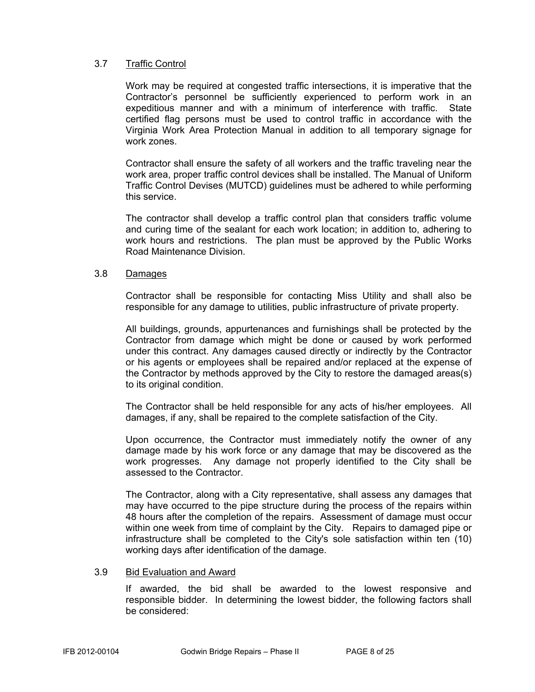#### 3.7 Traffic Control

Work may be required at congested traffic intersections, it is imperative that the Contractor's personnel be sufficiently experienced to perform work in an expeditious manner and with a minimum of interference with traffic. State certified flag persons must be used to control traffic in accordance with the Virginia Work Area Protection Manual in addition to all temporary signage for work zones.

Contractor shall ensure the safety of all workers and the traffic traveling near the work area, proper traffic control devices shall be installed. The Manual of Uniform Traffic Control Devises (MUTCD) guidelines must be adhered to while performing this service.

The contractor shall develop a traffic control plan that considers traffic volume and curing time of the sealant for each work location; in addition to, adhering to work hours and restrictions. The plan must be approved by the Public Works Road Maintenance Division.

#### 3.8 Damages

Contractor shall be responsible for contacting Miss Utility and shall also be responsible for any damage to utilities, public infrastructure of private property.

All buildings, grounds, appurtenances and furnishings shall be protected by the Contractor from damage which might be done or caused by work performed under this contract. Any damages caused directly or indirectly by the Contractor or his agents or employees shall be repaired and/or replaced at the expense of the Contractor by methods approved by the City to restore the damaged areas(s) to its original condition.

The Contractor shall be held responsible for any acts of his/her employees. All damages, if any, shall be repaired to the complete satisfaction of the City.

Upon occurrence, the Contractor must immediately notify the owner of any damage made by his work force or any damage that may be discovered as the work progresses. Any damage not properly identified to the City shall be assessed to the Contractor.

The Contractor, along with a City representative, shall assess any damages that may have occurred to the pipe structure during the process of the repairs within 48 hours after the completion of the repairs. Assessment of damage must occur within one week from time of complaint by the City. Repairs to damaged pipe or infrastructure shall be completed to the City's sole satisfaction within ten (10) working days after identification of the damage.

#### 3.9 Bid Evaluation and Award

If awarded, the bid shall be awarded to the lowest responsive and responsible bidder. In determining the lowest bidder, the following factors shall be considered: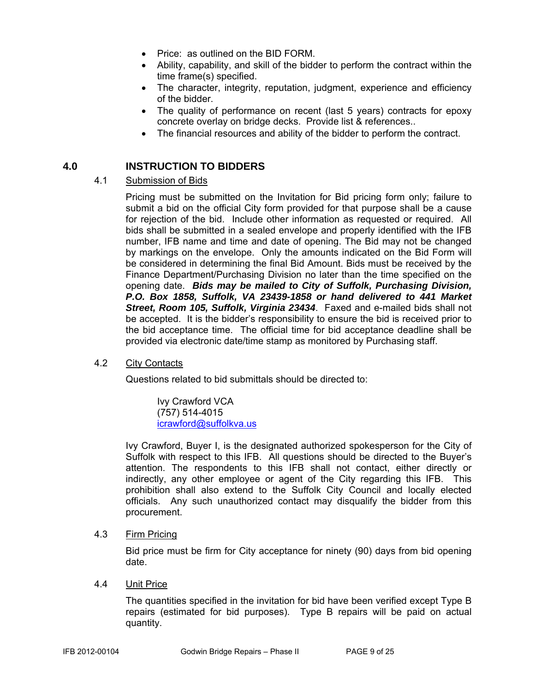- Price: as outlined on the BID FORM.
- Ability, capability, and skill of the bidder to perform the contract within the time frame(s) specified.
- The character, integrity, reputation, judgment, experience and efficiency of the bidder.
- The quality of performance on recent (last 5 years) contracts for epoxy concrete overlay on bridge decks. Provide list & references..
- The financial resources and ability of the bidder to perform the contract.

#### **4.0 INSTRUCTION TO BIDDERS**

#### 4.1 Submission of Bids

Pricing must be submitted on the Invitation for Bid pricing form only; failure to submit a bid on the official City form provided for that purpose shall be a cause for rejection of the bid. Include other information as requested or required. All bids shall be submitted in a sealed envelope and properly identified with the IFB number, IFB name and time and date of opening. The Bid may not be changed by markings on the envelope. Only the amounts indicated on the Bid Form will be considered in determining the final Bid Amount. Bids must be received by the Finance Department/Purchasing Division no later than the time specified on the opening date. *Bids may be mailed to City of Suffolk, Purchasing Division, P.O. Box 1858, Suffolk, VA 23439-1858 or hand delivered to 441 Market Street, Room 105, Suffolk, Virginia 23434*. Faxed and e-mailed bids shall not be accepted. It is the bidder's responsibility to ensure the bid is received prior to the bid acceptance time. The official time for bid acceptance deadline shall be provided via electronic date/time stamp as monitored by Purchasing staff.

#### 4.2 City Contacts

Questions related to bid submittals should be directed to:

 Ivy Crawford VCA (757) 514-4015 icrawford@suffolkva.us

Ivy Crawford, Buyer I, is the designated authorized spokesperson for the City of Suffolk with respect to this IFB. All questions should be directed to the Buyer's attention. The respondents to this IFB shall not contact, either directly or indirectly, any other employee or agent of the City regarding this IFB. This prohibition shall also extend to the Suffolk City Council and locally elected officials. Any such unauthorized contact may disqualify the bidder from this procurement.

#### 4.3 Firm Pricing

Bid price must be firm for City acceptance for ninety (90) days from bid opening date.

#### 4.4 Unit Price

The quantities specified in the invitation for bid have been verified except Type B repairs (estimated for bid purposes). Type B repairs will be paid on actual quantity.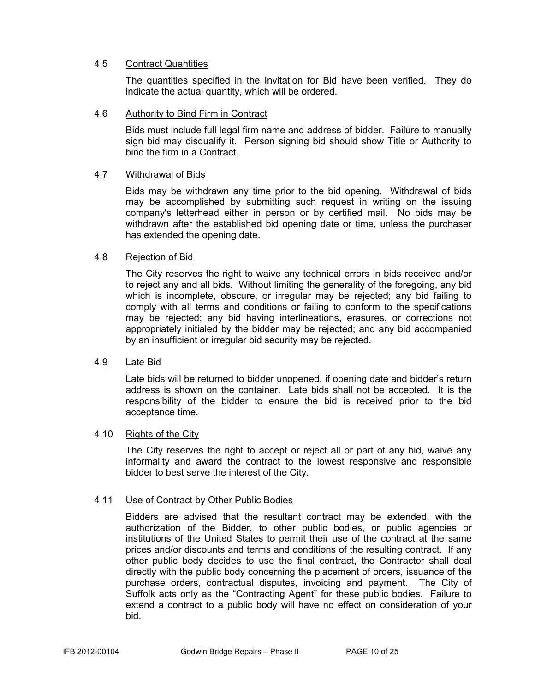#### 4.5 Contract Quantities

The quantities specified in the Invitation for Bid have been verified. They do indicate the actual quantity, which will be ordered.

#### 4.6 Authority to Bind Firm in Contract

Bids must include full legal firm name and address of bidder. Failure to manually sign bid may disqualify it. Person signing bid should show Title or Authority to bind the firm in a Contract.

#### 4.7 Withdrawal of Bids

Bids may be withdrawn any time prior to the bid opening. Withdrawal of bids may be accomplished by submitting such request in writing on the issuing company's letterhead either in person or by certified mail. No bids may be withdrawn after the established bid opening date or time, unless the purchaser has extended the opening date.

#### 4.8 Rejection of Bid

The City reserves the right to waive any technical errors in bids received and/or to reject any and all bids. Without limiting the generality of the foregoing, any bid which is incomplete, obscure, or irregular may be rejected; any bid failing to comply with all terms and conditions or failing to conform to the specifications may be rejected; any bid having interlineations, erasures, or corrections not appropriately initialed by the bidder may be rejected; and any bid accompanied by an insufficient or irregular bid security may be rejected.

#### 4.9 Late Bid

Late bids will be returned to bidder unopened, if opening date and bidder's return address is shown on the container. Late bids shall not be accepted. It is the responsibility of the bidder to ensure the bid is received prior to the bid acceptance time.

#### 4.10 Rights of the City

The City reserves the right to accept or reject all or part of any bid, waive any informality and award the contract to the lowest responsive and responsible bidder to best serve the interest of the City.

#### 4.11 Use of Contract by Other Public Bodies

Bidders are advised that the resultant contract may be extended, with the authorization of the Bidder, to other public bodies, or public agencies or institutions of the United States to permit their use of the contract at the same prices and/or discounts and terms and conditions of the resulting contract. If any other public body decides to use the final contract, the Contractor shall deal directly with the public body concerning the placement of orders, issuance of the purchase orders, contractual disputes, invoicing and payment. The City of Suffolk acts only as the "Contracting Agent" for these public bodies. Failure to extend a contract to a public body will have no effect on consideration of your bid.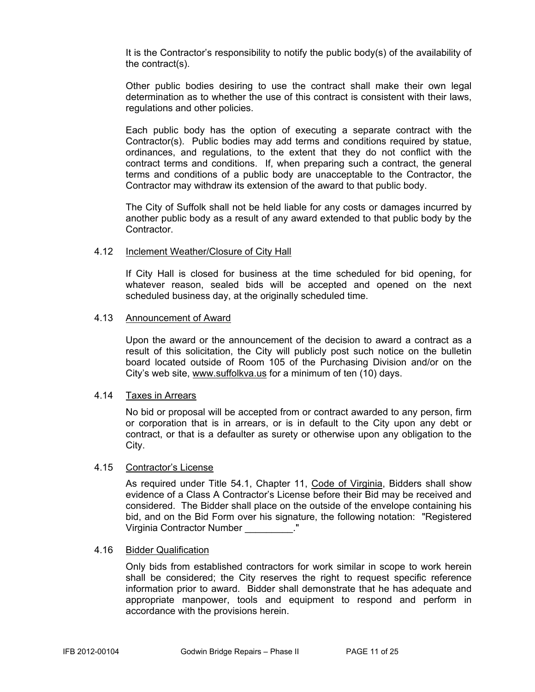It is the Contractor's responsibility to notify the public body(s) of the availability of the contract(s).

Other public bodies desiring to use the contract shall make their own legal determination as to whether the use of this contract is consistent with their laws, regulations and other policies.

Each public body has the option of executing a separate contract with the Contractor(s). Public bodies may add terms and conditions required by statue, ordinances, and regulations, to the extent that they do not conflict with the contract terms and conditions. If, when preparing such a contract, the general terms and conditions of a public body are unacceptable to the Contractor, the Contractor may withdraw its extension of the award to that public body.

The City of Suffolk shall not be held liable for any costs or damages incurred by another public body as a result of any award extended to that public body by the Contractor.

#### 4.12 Inclement Weather/Closure of City Hall

If City Hall is closed for business at the time scheduled for bid opening, for whatever reason, sealed bids will be accepted and opened on the next scheduled business day, at the originally scheduled time.

#### 4.13 Announcement of Award

Upon the award or the announcement of the decision to award a contract as a result of this solicitation, the City will publicly post such notice on the bulletin board located outside of Room 105 of the Purchasing Division and/or on the City's web site, www.suffolkva.us for a minimum of ten (10) days.

#### 4.14 Taxes in Arrears

No bid or proposal will be accepted from or contract awarded to any person, firm or corporation that is in arrears, or is in default to the City upon any debt or contract, or that is a defaulter as surety or otherwise upon any obligation to the City.

#### 4.15 Contractor's License

 As required under Title 54.1, Chapter 11, Code of Virginia, Bidders shall show evidence of a Class A Contractor's License before their Bid may be received and considered. The Bidder shall place on the outside of the envelope containing his bid, and on the Bid Form over his signature, the following notation: "Registered Virginia Contractor Number \_\_\_\_\_\_\_\_\_."

#### 4.16 Bidder Qualification

Only bids from established contractors for work similar in scope to work herein shall be considered; the City reserves the right to request specific reference information prior to award. Bidder shall demonstrate that he has adequate and appropriate manpower, tools and equipment to respond and perform in accordance with the provisions herein.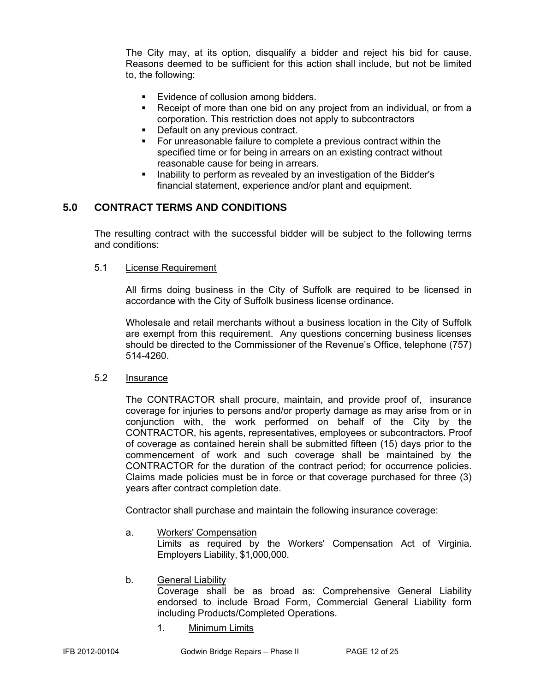The City may, at its option, disqualify a bidder and reject his bid for cause. Reasons deemed to be sufficient for this action shall include, but not be limited to, the following:

- Evidence of collusion among bidders.
- Receipt of more than one bid on any project from an individual, or from a corporation. This restriction does not apply to subcontractors
- Default on any previous contract.
- For unreasonable failure to complete a previous contract within the specified time or for being in arrears on an existing contract without reasonable cause for being in arrears.
- Inability to perform as revealed by an investigation of the Bidder's financial statement, experience and/or plant and equipment.

### **5.0 CONTRACT TERMS AND CONDITIONS**

The resulting contract with the successful bidder will be subject to the following terms and conditions:

#### 5.1 License Requirement

All firms doing business in the City of Suffolk are required to be licensed in accordance with the City of Suffolk business license ordinance.

Wholesale and retail merchants without a business location in the City of Suffolk are exempt from this requirement. Any questions concerning business licenses should be directed to the Commissioner of the Revenue's Office, telephone (757) 514-4260.

#### 5.2 Insurance

The CONTRACTOR shall procure, maintain, and provide proof of, insurance coverage for injuries to persons and/or property damage as may arise from or in conjunction with, the work performed on behalf of the City by the CONTRACTOR, his agents, representatives, employees or subcontractors. Proof of coverage as contained herein shall be submitted fifteen (15) days prior to the commencement of work and such coverage shall be maintained by the CONTRACTOR for the duration of the contract period; for occurrence policies. Claims made policies must be in force or that coverage purchased for three (3) years after contract completion date.

Contractor shall purchase and maintain the following insurance coverage:

a. Workers' Compensation

 Limits as required by the Workers' Compensation Act of Virginia. Employers Liability, \$1,000,000.

- b. General Liability Coverage shall be as broad as: Comprehensive General Liability endorsed to include Broad Form, Commercial General Liability form including Products/Completed Operations.
	- 1. Minimum Limits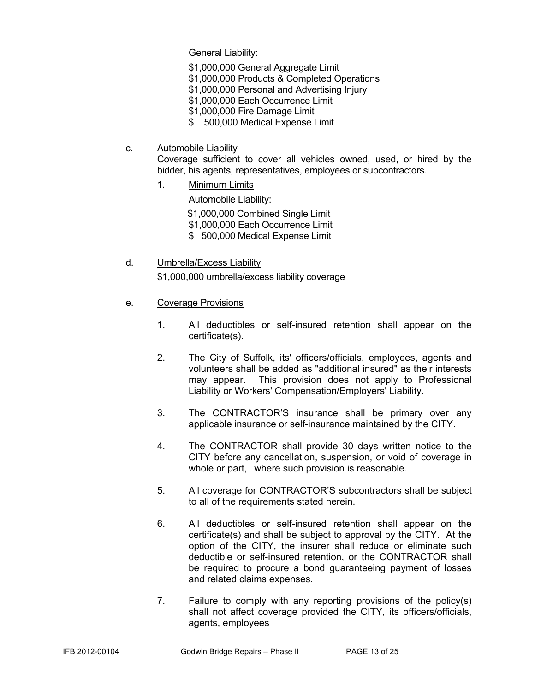General Liability:

- \$1,000,000 General Aggregate Limit
- \$1,000,000 Products & Completed Operations
- \$1,000,000 Personal and Advertising Injury
- \$1,000,000 Each Occurrence Limit
- \$1,000,000 Fire Damage Limit
- \$ 500,000 Medical Expense Limit
- c. Automobile Liability

Coverage sufficient to cover all vehicles owned, used, or hired by the bidder, his agents, representatives, employees or subcontractors.

1. Minimum Limits

Automobile Liability:

\$1,000,000 Combined Single Limit

\$1,000,000 Each Occurrence Limit

- \$ 500,000 Medical Expense Limit
- d. Umbrella/Excess Liability

\$1,000,000 umbrella/excess liability coverage

- e. Coverage Provisions
	- 1. All deductibles or self-insured retention shall appear on the certificate(s).
	- 2. The City of Suffolk, its' officers/officials, employees, agents and volunteers shall be added as "additional insured" as their interests may appear. This provision does not apply to Professional Liability or Workers' Compensation/Employers' Liability.
	- 3. The CONTRACTOR'S insurance shall be primary over any applicable insurance or self-insurance maintained by the CITY.
	- 4. The CONTRACTOR shall provide 30 days written notice to the CITY before any cancellation, suspension, or void of coverage in whole or part, where such provision is reasonable.
	- 5. All coverage for CONTRACTOR'S subcontractors shall be subject to all of the requirements stated herein.
	- 6. All deductibles or self-insured retention shall appear on the certificate(s) and shall be subject to approval by the CITY. At the option of the CITY, the insurer shall reduce or eliminate such deductible or self-insured retention, or the CONTRACTOR shall be required to procure a bond guaranteeing payment of losses and related claims expenses.
	- 7. Failure to comply with any reporting provisions of the policy(s) shall not affect coverage provided the CITY, its officers/officials, agents, employees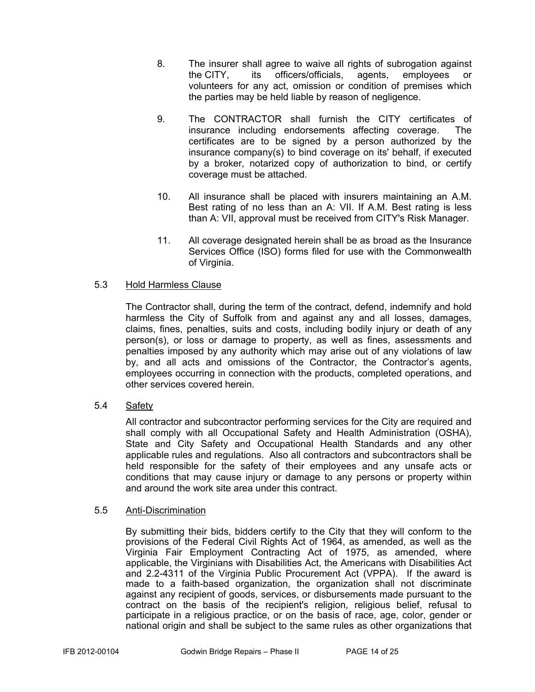- 8. The insurer shall agree to waive all rights of subrogation against the CITY, its officers/officials, agents, employees or volunteers for any act, omission or condition of premises which the parties may be held liable by reason of negligence.
- 9. The CONTRACTOR shall furnish the CITY certificates of insurance including endorsements affecting coverage. The certificates are to be signed by a person authorized by the insurance company(s) to bind coverage on its' behalf, if executed by a broker, notarized copy of authorization to bind, or certify coverage must be attached.
- 10. All insurance shall be placed with insurers maintaining an A.M. Best rating of no less than an A: VII. If A.M. Best rating is less than A: VII, approval must be received from CITY's Risk Manager.
- 11. All coverage designated herein shall be as broad as the Insurance Services Office (ISO) forms filed for use with the Commonwealth of Virginia.

#### 5.3 Hold Harmless Clause

The Contractor shall, during the term of the contract, defend, indemnify and hold harmless the City of Suffolk from and against any and all losses, damages, claims, fines, penalties, suits and costs, including bodily injury or death of any person(s), or loss or damage to property, as well as fines, assessments and penalties imposed by any authority which may arise out of any violations of law by, and all acts and omissions of the Contractor, the Contractor's agents, employees occurring in connection with the products, completed operations, and other services covered herein.

#### 5.4 Safety

All contractor and subcontractor performing services for the City are required and shall comply with all Occupational Safety and Health Administration (OSHA), State and City Safety and Occupational Health Standards and any other applicable rules and regulations. Also all contractors and subcontractors shall be held responsible for the safety of their employees and any unsafe acts or conditions that may cause injury or damage to any persons or property within and around the work site area under this contract.

#### 5.5 Anti-Discrimination

By submitting their bids, bidders certify to the City that they will conform to the provisions of the Federal Civil Rights Act of 1964, as amended, as well as the Virginia Fair Employment Contracting Act of 1975, as amended, where applicable, the Virginians with Disabilities Act, the Americans with Disabilities Act and 2.2-4311 of the Virginia Public Procurement Act (VPPA). If the award is made to a faith-based organization, the organization shall not discriminate against any recipient of goods, services, or disbursements made pursuant to the contract on the basis of the recipient's religion, religious belief, refusal to participate in a religious practice, or on the basis of race, age, color, gender or national origin and shall be subject to the same rules as other organizations that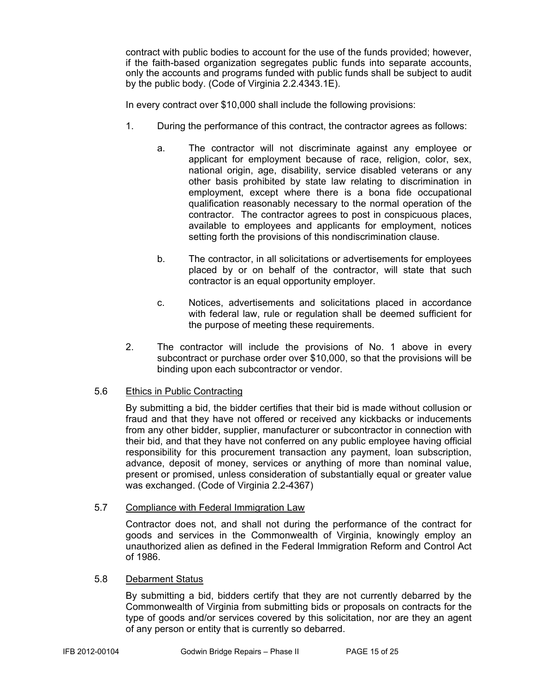contract with public bodies to account for the use of the funds provided; however, if the faith-based organization segregates public funds into separate accounts, only the accounts and programs funded with public funds shall be subject to audit by the public body. (Code of Virginia 2.2.4343.1E).

In every contract over \$10,000 shall include the following provisions:

- 1. During the performance of this contract, the contractor agrees as follows:
	- a. The contractor will not discriminate against any employee or applicant for employment because of race, religion, color, sex, national origin, age, disability, service disabled veterans or any other basis prohibited by state law relating to discrimination in employment, except where there is a bona fide occupational qualification reasonably necessary to the normal operation of the contractor. The contractor agrees to post in conspicuous places, available to employees and applicants for employment, notices setting forth the provisions of this nondiscrimination clause.
	- b. The contractor, in all solicitations or advertisements for employees placed by or on behalf of the contractor, will state that such contractor is an equal opportunity employer.
	- c. Notices, advertisements and solicitations placed in accordance with federal law, rule or regulation shall be deemed sufficient for the purpose of meeting these requirements.
- 2. The contractor will include the provisions of No. 1 above in every subcontract or purchase order over \$10,000, so that the provisions will be binding upon each subcontractor or vendor.

#### 5.6 Ethics in Public Contracting

By submitting a bid, the bidder certifies that their bid is made without collusion or fraud and that they have not offered or received any kickbacks or inducements from any other bidder, supplier, manufacturer or subcontractor in connection with their bid, and that they have not conferred on any public employee having official responsibility for this procurement transaction any payment, loan subscription, advance, deposit of money, services or anything of more than nominal value, present or promised, unless consideration of substantially equal or greater value was exchanged. (Code of Virginia 2.2-4367)

#### 5.7 Compliance with Federal Immigration Law

Contractor does not, and shall not during the performance of the contract for goods and services in the Commonwealth of Virginia, knowingly employ an unauthorized alien as defined in the Federal Immigration Reform and Control Act of 1986.

#### 5.8 Debarment Status

By submitting a bid, bidders certify that they are not currently debarred by the Commonwealth of Virginia from submitting bids or proposals on contracts for the type of goods and/or services covered by this solicitation, nor are they an agent of any person or entity that is currently so debarred.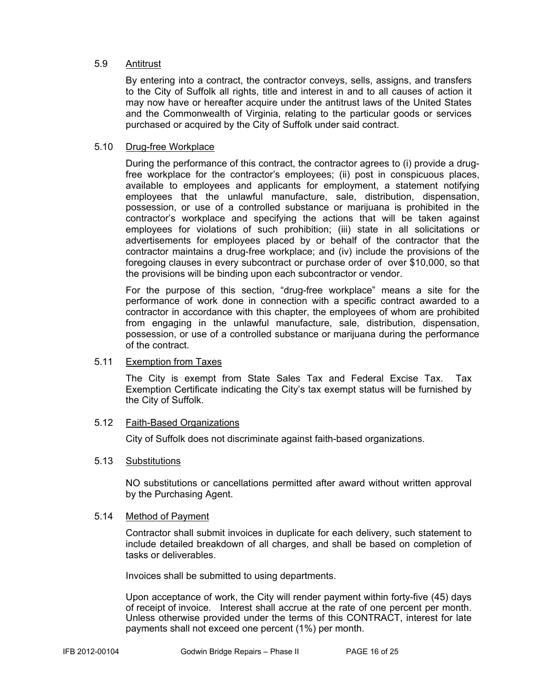#### 5.9 Antitrust

By entering into a contract, the contractor conveys, sells, assigns, and transfers to the City of Suffolk all rights, title and interest in and to all causes of action it may now have or hereafter acquire under the antitrust laws of the United States and the Commonwealth of Virginia, relating to the particular goods or services purchased or acquired by the City of Suffolk under said contract.

#### 5.10 Drug-free Workplace

During the performance of this contract, the contractor agrees to (i) provide a drugfree workplace for the contractor's employees; (ii) post in conspicuous places, available to employees and applicants for employment, a statement notifying employees that the unlawful manufacture, sale, distribution, dispensation, possession, or use of a controlled substance or marijuana is prohibited in the contractor's workplace and specifying the actions that will be taken against employees for violations of such prohibition; (iii) state in all solicitations or advertisements for employees placed by or behalf of the contractor that the contractor maintains a drug-free workplace; and (iv) include the provisions of the foregoing clauses in every subcontract or purchase order of over \$10,000, so that the provisions will be binding upon each subcontractor or vendor.

For the purpose of this section, "drug-free workplace" means a site for the performance of work done in connection with a specific contract awarded to a contractor in accordance with this chapter, the employees of whom are prohibited from engaging in the unlawful manufacture, sale, distribution, dispensation, possession, or use of a controlled substance or marijuana during the performance of the contract.

#### 5.11 Exemption from Taxes

The City is exempt from State Sales Tax and Federal Excise Tax. Tax Exemption Certificate indicating the City's tax exempt status will be furnished by the City of Suffolk.

#### 5.12 Faith-Based Organizations

City of Suffolk does not discriminate against faith-based organizations.

#### 5.13 Substitutions

NO substitutions or cancellations permitted after award without written approval by the Purchasing Agent.

#### 5.14 Method of Payment

Contractor shall submit invoices in duplicate for each delivery, such statement to include detailed breakdown of all charges, and shall be based on completion of tasks or deliverables.

Invoices shall be submitted to using departments.

Upon acceptance of work, the City will render payment within forty-five (45) days of receipt of invoice. Interest shall accrue at the rate of one percent per month. Unless otherwise provided under the terms of this CONTRACT, interest for late payments shall not exceed one percent (1%) per month.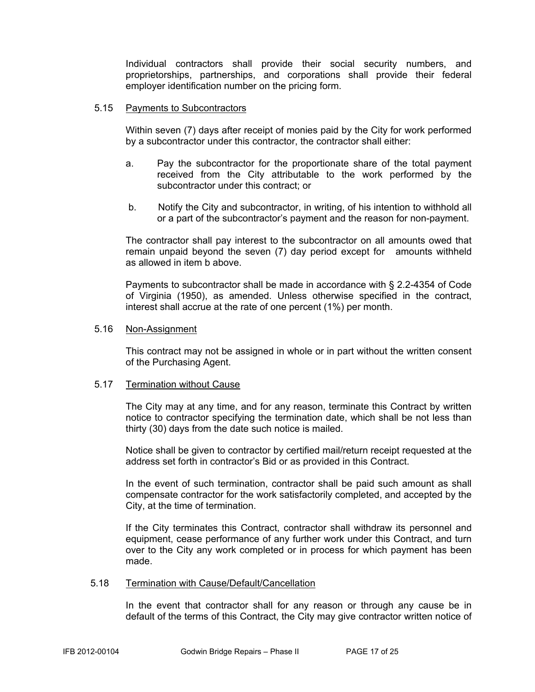Individual contractors shall provide their social security numbers, and proprietorships, partnerships, and corporations shall provide their federal employer identification number on the pricing form.

#### 5.15 Payments to Subcontractors

Within seven (7) days after receipt of monies paid by the City for work performed by a subcontractor under this contractor, the contractor shall either:

- a. Pay the subcontractor for the proportionate share of the total payment received from the City attributable to the work performed by the subcontractor under this contract; or
- b. Notify the City and subcontractor, in writing, of his intention to withhold all or a part of the subcontractor's payment and the reason for non-payment.

The contractor shall pay interest to the subcontractor on all amounts owed that remain unpaid beyond the seven (7) day period except for amounts withheld as allowed in item b above.

Payments to subcontractor shall be made in accordance with § 2.2-4354 of Code of Virginia (1950), as amended. Unless otherwise specified in the contract, interest shall accrue at the rate of one percent (1%) per month.

#### 5.16 Non-Assignment

This contract may not be assigned in whole or in part without the written consent of the Purchasing Agent.

#### 5.17 Termination without Cause

The City may at any time, and for any reason, terminate this Contract by written notice to contractor specifying the termination date, which shall be not less than thirty (30) days from the date such notice is mailed.

Notice shall be given to contractor by certified mail/return receipt requested at the address set forth in contractor's Bid or as provided in this Contract.

In the event of such termination, contractor shall be paid such amount as shall compensate contractor for the work satisfactorily completed, and accepted by the City, at the time of termination.

If the City terminates this Contract, contractor shall withdraw its personnel and equipment, cease performance of any further work under this Contract, and turn over to the City any work completed or in process for which payment has been made.

#### 5.18 Termination with Cause/Default/Cancellation

In the event that contractor shall for any reason or through any cause be in default of the terms of this Contract, the City may give contractor written notice of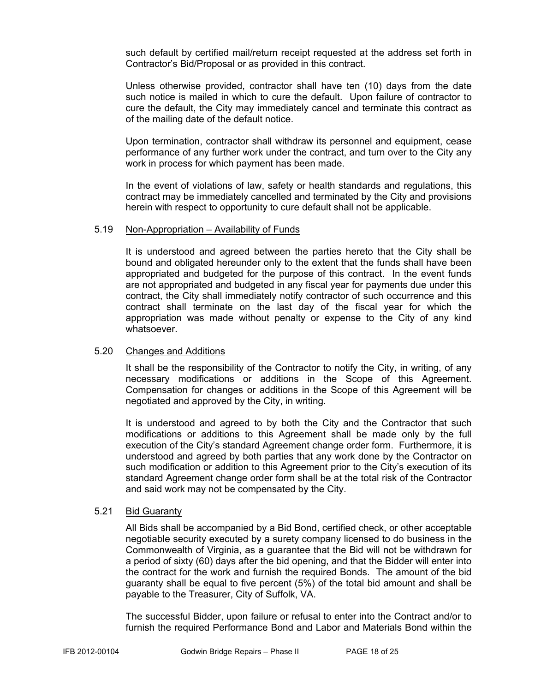such default by certified mail/return receipt requested at the address set forth in Contractor's Bid/Proposal or as provided in this contract.

Unless otherwise provided, contractor shall have ten (10) days from the date such notice is mailed in which to cure the default. Upon failure of contractor to cure the default, the City may immediately cancel and terminate this contract as of the mailing date of the default notice.

Upon termination, contractor shall withdraw its personnel and equipment, cease performance of any further work under the contract, and turn over to the City any work in process for which payment has been made.

In the event of violations of law, safety or health standards and regulations, this contract may be immediately cancelled and terminated by the City and provisions herein with respect to opportunity to cure default shall not be applicable.

#### 5.19 Non-Appropriation – Availability of Funds

It is understood and agreed between the parties hereto that the City shall be bound and obligated hereunder only to the extent that the funds shall have been appropriated and budgeted for the purpose of this contract. In the event funds are not appropriated and budgeted in any fiscal year for payments due under this contract, the City shall immediately notify contractor of such occurrence and this contract shall terminate on the last day of the fiscal year for which the appropriation was made without penalty or expense to the City of any kind whatsoever.

#### 5.20 Changes and Additions

It shall be the responsibility of the Contractor to notify the City, in writing, of any necessary modifications or additions in the Scope of this Agreement. Compensation for changes or additions in the Scope of this Agreement will be negotiated and approved by the City, in writing.

It is understood and agreed to by both the City and the Contractor that such modifications or additions to this Agreement shall be made only by the full execution of the City's standard Agreement change order form. Furthermore, it is understood and agreed by both parties that any work done by the Contractor on such modification or addition to this Agreement prior to the City's execution of its standard Agreement change order form shall be at the total risk of the Contractor and said work may not be compensated by the City.

#### 5.21 Bid Guaranty

 All Bids shall be accompanied by a Bid Bond, certified check, or other acceptable negotiable security executed by a surety company licensed to do business in the Commonwealth of Virginia, as a guarantee that the Bid will not be withdrawn for a period of sixty (60) days after the bid opening, and that the Bidder will enter into the contract for the work and furnish the required Bonds. The amount of the bid guaranty shall be equal to five percent (5%) of the total bid amount and shall be payable to the Treasurer, City of Suffolk, VA.

 The successful Bidder, upon failure or refusal to enter into the Contract and/or to furnish the required Performance Bond and Labor and Materials Bond within the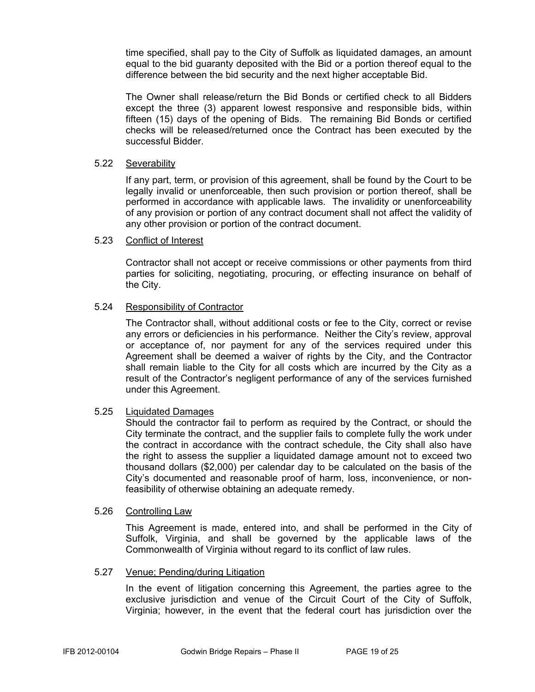time specified, shall pay to the City of Suffolk as liquidated damages, an amount equal to the bid guaranty deposited with the Bid or a portion thereof equal to the difference between the bid security and the next higher acceptable Bid.

 The Owner shall release/return the Bid Bonds or certified check to all Bidders except the three (3) apparent lowest responsive and responsible bids, within fifteen (15) days of the opening of Bids. The remaining Bid Bonds or certified checks will be released/returned once the Contract has been executed by the successful Bidder.

#### 5.22 Severability

If any part, term, or provision of this agreement, shall be found by the Court to be legally invalid or unenforceable, then such provision or portion thereof, shall be performed in accordance with applicable laws. The invalidity or unenforceability of any provision or portion of any contract document shall not affect the validity of any other provision or portion of the contract document.

#### 5.23 Conflict of Interest

Contractor shall not accept or receive commissions or other payments from third parties for soliciting, negotiating, procuring, or effecting insurance on behalf of the City.

#### 5.24 Responsibility of Contractor

The Contractor shall, without additional costs or fee to the City, correct or revise any errors or deficiencies in his performance. Neither the City's review, approval or acceptance of, nor payment for any of the services required under this Agreement shall be deemed a waiver of rights by the City, and the Contractor shall remain liable to the City for all costs which are incurred by the City as a result of the Contractor's negligent performance of any of the services furnished under this Agreement.

#### 5.25 Liquidated Damages

 Should the contractor fail to perform as required by the Contract, or should the City terminate the contract, and the supplier fails to complete fully the work under the contract in accordance with the contract schedule, the City shall also have the right to assess the supplier a liquidated damage amount not to exceed two thousand dollars (\$2,000) per calendar day to be calculated on the basis of the City's documented and reasonable proof of harm, loss, inconvenience, or nonfeasibility of otherwise obtaining an adequate remedy.

#### 5.26 Controlling Law

This Agreement is made, entered into, and shall be performed in the City of Suffolk, Virginia, and shall be governed by the applicable laws of the Commonwealth of Virginia without regard to its conflict of law rules.

#### 5.27 Venue; Pending/during Litigation

In the event of litigation concerning this Agreement, the parties agree to the exclusive jurisdiction and venue of the Circuit Court of the City of Suffolk, Virginia; however, in the event that the federal court has jurisdiction over the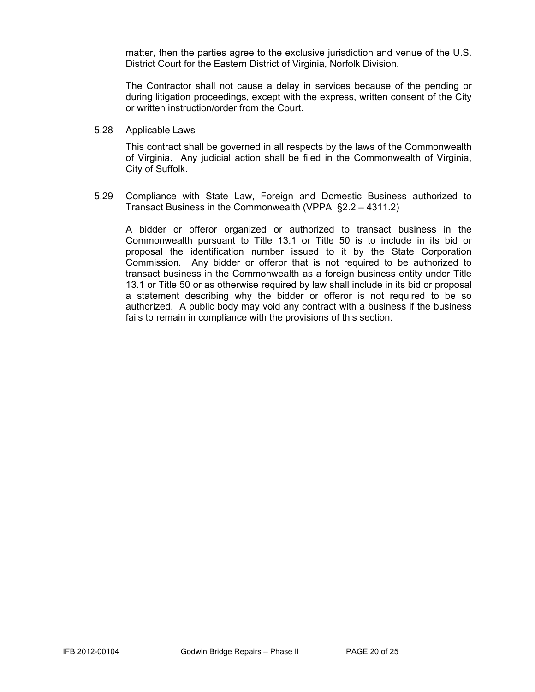matter, then the parties agree to the exclusive jurisdiction and venue of the U.S. District Court for the Eastern District of Virginia, Norfolk Division.

The Contractor shall not cause a delay in services because of the pending or during litigation proceedings, except with the express, written consent of the City or written instruction/order from the Court.

#### 5.28 Applicable Laws

This contract shall be governed in all respects by the laws of the Commonwealth of Virginia. Any judicial action shall be filed in the Commonwealth of Virginia, City of Suffolk.

#### 5.29 Compliance with State Law, Foreign and Domestic Business authorized to Transact Business in the Commonwealth (VPPA §2.2 – 4311.2)

A bidder or offeror organized or authorized to transact business in the Commonwealth pursuant to Title 13.1 or Title 50 is to include in its bid or proposal the identification number issued to it by the State Corporation Commission. Any bidder or offeror that is not required to be authorized to transact business in the Commonwealth as a foreign business entity under Title 13.1 or Title 50 or as otherwise required by law shall include in its bid or proposal a statement describing why the bidder or offeror is not required to be so authorized. A public body may void any contract with a business if the business fails to remain in compliance with the provisions of this section.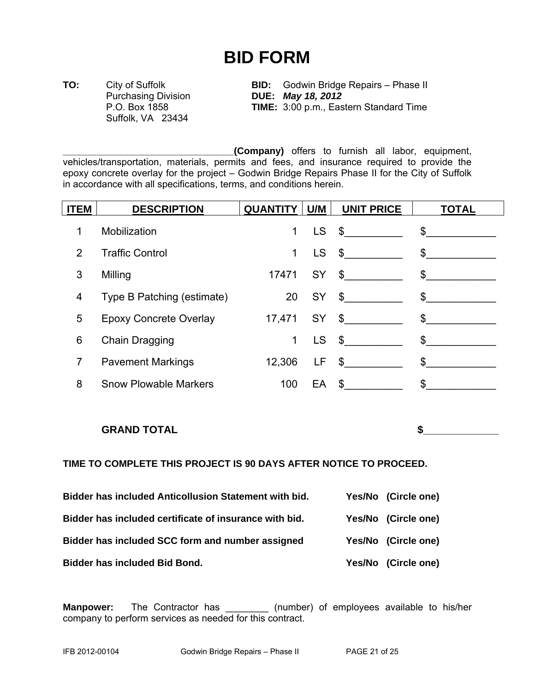# **BID FORM**

Suffolk, VA 23434

**TO:** City of Suffolk **BID:** Godwin Bridge Repairs – Phase II Purchasing Division **DUE:** *May 18, 2012* P.O. Box 1858 **TIME:** 3:00 p.m., Eastern Standard Time

**\_\_\_\_\_\_\_\_\_\_\_\_\_\_\_\_\_\_\_\_\_\_\_\_\_\_\_\_\_\_\_\_(Company)** offers to furnish all labor, equipment, vehicles/transportation, materials, permits and fees, and insurance required to provide the epoxy concrete overlay for the project – Godwin Bridge Repairs Phase II for the City of Suffolk in accordance with all specifications, terms, and conditions herein.

| <b>ITEM</b> | <b>DESCRIPTION</b>           | QUANTITY   U/M |           | <b>UNIT PRICE</b>                     | <b>TOTAL</b>  |
|-------------|------------------------------|----------------|-----------|---------------------------------------|---------------|
| 1           | <b>Mobilization</b>          | 1              | <b>LS</b> | $\frac{1}{2}$                         | $\frac{1}{2}$ |
| 2           | <b>Traffic Control</b>       | 1              | <b>LS</b> | $\frac{1}{2}$                         | $\frac{1}{2}$ |
| 3           | Milling                      | 17471          |           | $SY \quad $ \underline{\quad \quad }$ | $\frac{1}{2}$ |
| 4           | Type B Patching (estimate)   | 20             |           | $SY \quad $$                          | $\mathcal{S}$ |
| 5           | Epoxy Concrete Overlay       |                |           | 17,471 SY \$                          | $\sim$        |
| 6           | Chain Dragging               | 1              | LS        | $\frac{1}{2}$                         | $\mathcal{S}$ |
| 7           | <b>Pavement Markings</b>     | 12,306         | LF .      | $\frac{1}{2}$                         | $\mathcal{S}$ |
| 8           | <b>Snow Plowable Markers</b> | 100            |           | $EA$ \$                               | $\mathbb{S}$  |

#### **GRAND TOTAL** SPECIFIED ASSESSED ASSESSED ASSESSED ASSESSED ASSESSED ASSESSED ASSESSED ASSESSED ASSESSED ASSESSED ASSESSED ASSESSED AS A LOCAL CONTINUES. A LOCAL CONTINUES. A LOCAL CONTINUES. A LOCAL CONTINUES. A LOCAL CON

#### **TIME TO COMPLETE THIS PROJECT IS 90 DAYS AFTER NOTICE TO PROCEED.**

| Bidder has included Anticollusion Statement with bid.  | Yes/No (Circle one) |
|--------------------------------------------------------|---------------------|
| Bidder has included certificate of insurance with bid. | Yes/No (Circle one) |
| Bidder has included SCC form and number assigned       | Yes/No (Circle one) |
| <b>Bidder has included Bid Bond.</b>                   | Yes/No (Circle one) |

**Manpower:** The Contractor has \_\_\_\_\_\_\_\_ (number) of employees available to his/her company to perform services as needed for this contract.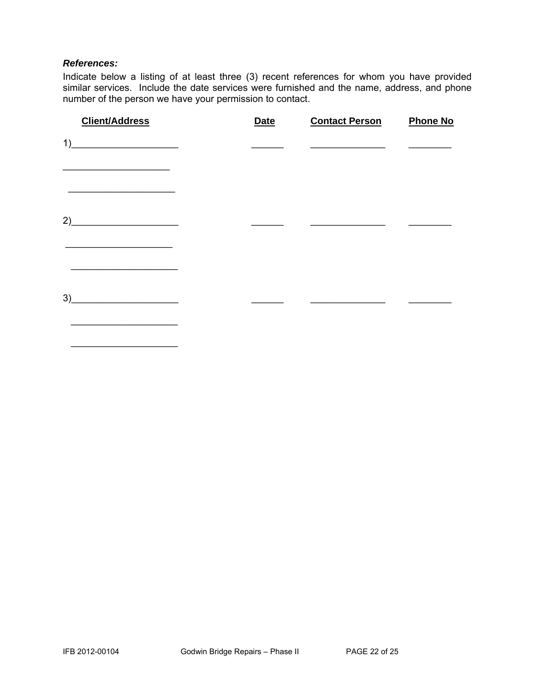#### *References:*

 $\overline{\phantom{a}}$  ,  $\overline{\phantom{a}}$  ,  $\overline{\phantom{a}}$  ,  $\overline{\phantom{a}}$  ,  $\overline{\phantom{a}}$  ,  $\overline{\phantom{a}}$  ,  $\overline{\phantom{a}}$  ,  $\overline{\phantom{a}}$  ,  $\overline{\phantom{a}}$  ,  $\overline{\phantom{a}}$  ,  $\overline{\phantom{a}}$  ,  $\overline{\phantom{a}}$  ,  $\overline{\phantom{a}}$  ,  $\overline{\phantom{a}}$  ,  $\overline{\phantom{a}}$  ,  $\overline{\phantom{a}}$ 

Indicate below a listing of at least three (3) recent references for whom you have provided similar services. Include the date services were furnished and the name, address, and phone number of the person we have your permission to contact.

| <b>Client/Address</b>                                    | <b>Date</b> | <b>Contact Person</b> | <b>Phone No</b> |
|----------------------------------------------------------|-------------|-----------------------|-----------------|
| 1)                                                       |             |                       |                 |
|                                                          |             |                       |                 |
| 2)<br><u> 1989 - Johann John Barn, mars eta bainar e</u> |             |                       |                 |
|                                                          |             |                       |                 |
| 3)<br><u> 1990 - Johann Barbara, martxa</u>              |             |                       |                 |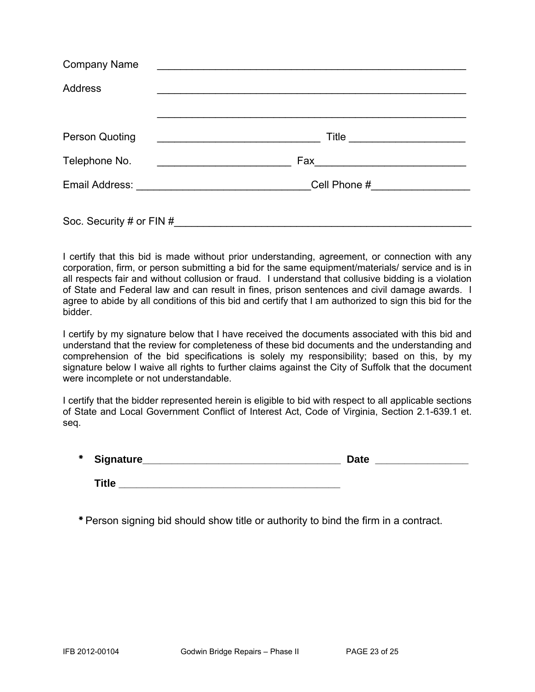| <b>Company Name</b>      | <u> 1980 - John Barnett, fransk politiker (d. 1980)</u>                                                               |
|--------------------------|-----------------------------------------------------------------------------------------------------------------------|
| <b>Address</b>           |                                                                                                                       |
|                          |                                                                                                                       |
| <b>Person Quoting</b>    | <u> 1989 - Johann Barbara, martin amerikan basal dan berasal dalam basal dalam basal dalam basal dalam basal dala</u> |
| Telephone No.            | Fax _________________________                                                                                         |
|                          |                                                                                                                       |
| Soc. Security # or FIN # |                                                                                                                       |

I certify that this bid is made without prior understanding, agreement, or connection with any corporation, firm, or person submitting a bid for the same equipment/materials/ service and is in all respects fair and without collusion or fraud. I understand that collusive bidding is a violation of State and Federal law and can result in fines, prison sentences and civil damage awards. I agree to abide by all conditions of this bid and certify that I am authorized to sign this bid for the bidder.

I certify by my signature below that I have received the documents associated with this bid and understand that the review for completeness of these bid documents and the understanding and comprehension of the bid specifications is solely my responsibility; based on this, by my signature below I waive all rights to further claims against the City of Suffolk that the document were incomplete or not understandable.

I certify that the bidder represented herein is eligible to bid with respect to all applicable sections of State and Local Government Conflict of Interest Act, Code of Virginia, Section 2.1-639.1 et. seq.

| *<br><b>Signature</b><br>--- | <b>Sate</b> |  |
|------------------------------|-------------|--|
|                              |             |  |

**Title** 

\* Person signing bid should show title or authority to bind the firm in a contract.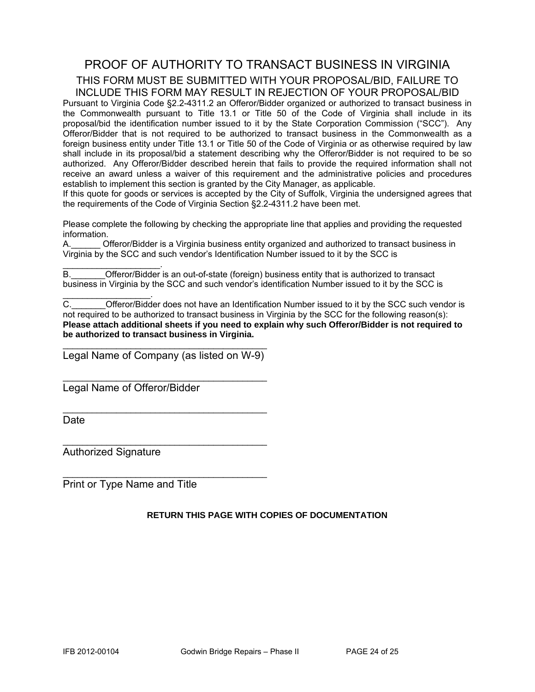### PROOF OF AUTHORITY TO TRANSACT BUSINESS IN VIRGINIA THIS FORM MUST BE SUBMITTED WITH YOUR PROPOSAL/BID, FAILURE TO INCLUDE THIS FORM MAY RESULT IN REJECTION OF YOUR PROPOSAL/BID

Pursuant to Virginia Code §2.2-4311.2 an Offeror/Bidder organized or authorized to transact business in the Commonwealth pursuant to Title 13.1 or Title 50 of the Code of Virginia shall include in its proposal/bid the identification number issued to it by the State Corporation Commission ("SCC"). Any Offeror/Bidder that is not required to be authorized to transact business in the Commonwealth as a foreign business entity under Title 13.1 or Title 50 of the Code of Virginia or as otherwise required by law shall include in its proposal/bid a statement describing why the Offeror/Bidder is not required to be so authorized. Any Offeror/Bidder described herein that fails to provide the required information shall not receive an award unless a waiver of this requirement and the administrative policies and procedures establish to implement this section is granted by the City Manager, as applicable.

If this quote for goods or services is accepted by the City of Suffolk, Virginia the undersigned agrees that the requirements of the Code of Virginia Section §2.2-4311.2 have been met.

Please complete the following by checking the appropriate line that applies and providing the requested information.

A.\_\_\_\_\_\_ Offeror/Bidder is a Virginia business entity organized and authorized to transact business in Virginia by the SCC and such vendor's Identification Number issued to it by the SCC is

 $\mathcal{L}_\text{max}$  and  $\mathcal{L}_\text{max}$  and  $\mathcal{L}_\text{max}$ B. **Combinded Offeror/Bidder** is an out-of-state (foreign) business entity that is authorized to transact business in Virginia by the SCC and such vendor's identification Number issued to it by the SCC is

C. C. Cofferor/Bidder does not have an Identification Number issued to it by the SCC such vendor is not required to be authorized to transact business in Virginia by the SCC for the following reason(s): **Please attach additional sheets if you need to explain why such Offeror/Bidder is not required to be authorized to transact business in Virginia.** 

\_\_\_\_\_\_\_\_\_\_\_\_\_\_\_\_\_\_\_\_\_\_\_\_\_\_\_\_\_\_\_\_\_\_\_\_\_\_\_\_\_\_ Legal Name of Company (as listed on W-9)

\_\_\_\_\_\_\_\_\_\_\_\_\_\_\_\_\_\_\_\_\_\_\_\_\_\_\_\_\_\_\_\_\_\_\_\_\_\_\_\_\_\_

\_\_\_\_\_\_\_\_\_\_\_\_\_\_\_\_\_\_\_\_\_\_\_\_\_\_\_\_\_\_\_\_\_\_\_\_\_\_\_\_\_\_

 $\mathcal{L}_\text{max}$  , and the set of the set of the set of the set of the set of the set of the set of the set of the set of the set of the set of the set of the set of the set of the set of the set of the set of the set of the

 $\mathcal{L}_\text{max}$  , and the set of the set of the set of the set of the set of the set of the set of the set of the set of the set of the set of the set of the set of the set of the set of the set of the set of the set of the

Legal Name of Offeror/Bidder

**Date** 

Authorized Signature

 $\mathcal{L}_\text{max}$  and  $\mathcal{L}_\text{max}$  and  $\mathcal{L}_\text{max}$ 

Print or Type Name and Title

#### **RETURN THIS PAGE WITH COPIES OF DOCUMENTATION**